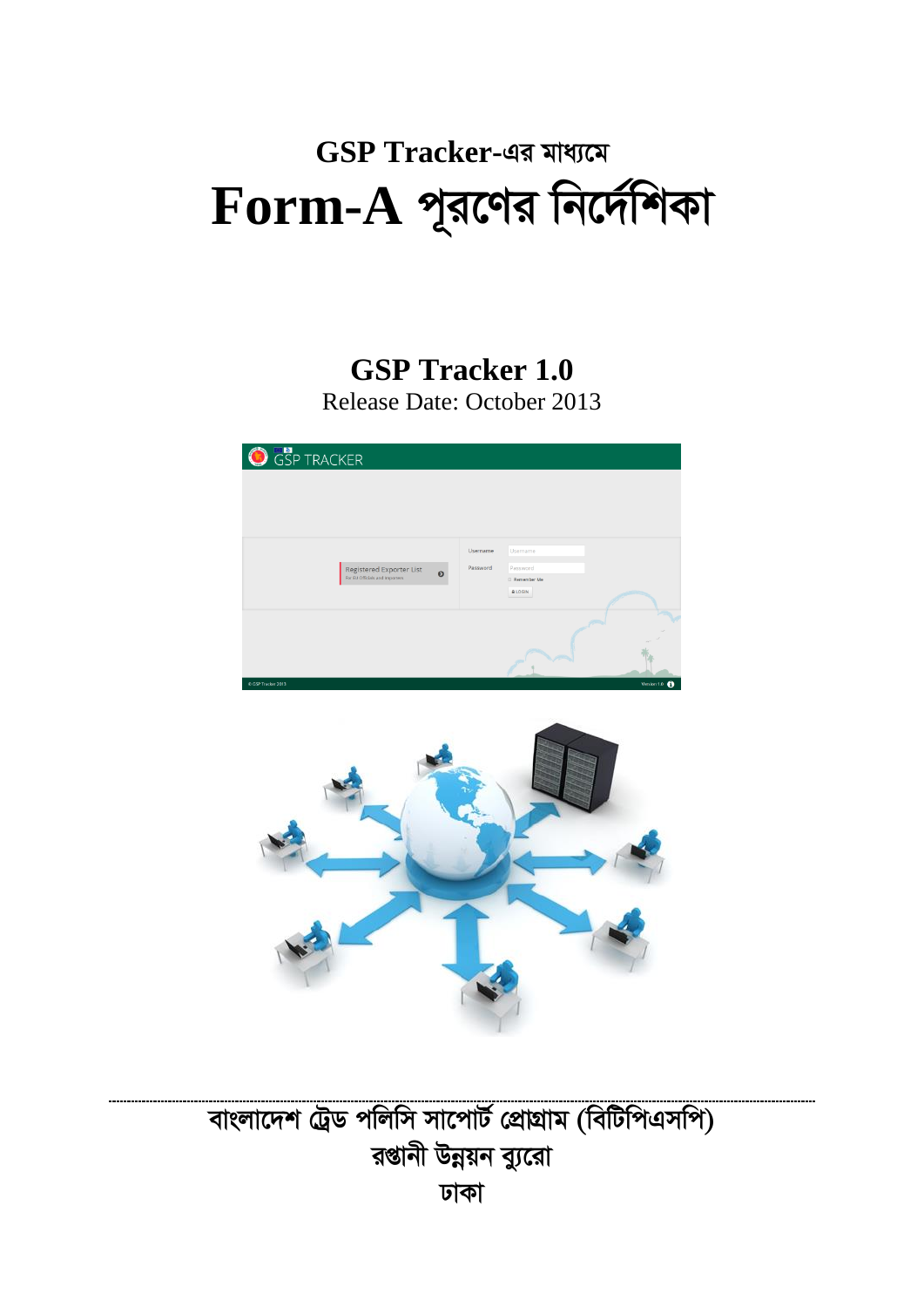# GSP Tracker-এর মাধ্যমে  $\bf{Form-A}$  পূরণের নির্দেশিকা

# **GSP Tracker 1.0** Release Date: October 2013





# বাংলাদেশ ট্রেড পলিসি সাপোর্ট প্রোগ্রাম (বিটিপিএসপি) রপ্তানী উন্নয়ন ব্যুরো ঢাকা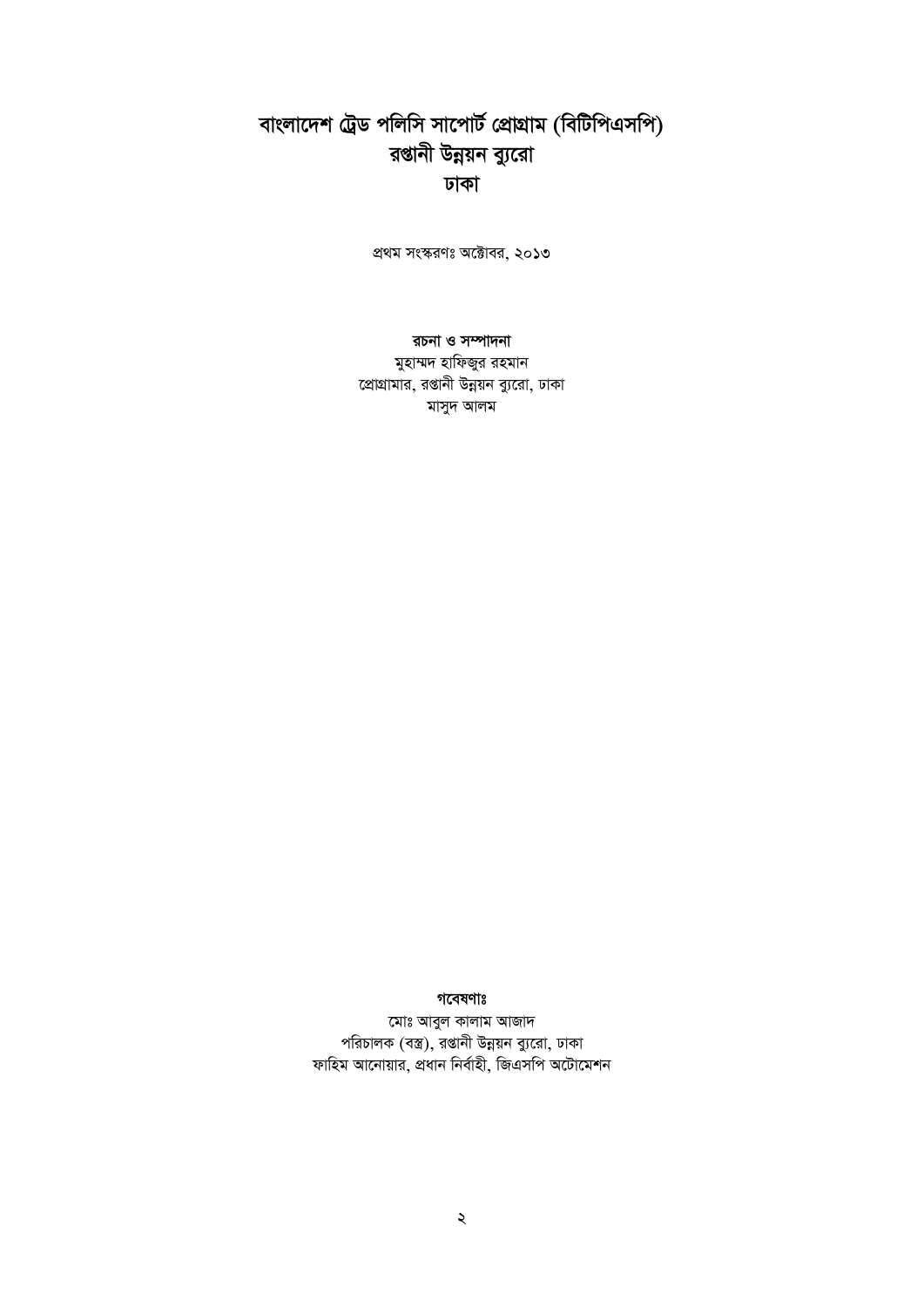# বাংলাদেশ ট্রেড পলিসি সাপোর্ট প্রোগ্রাম (বিটিপিএসপি) রপ্তানী উন্নয়ন ব্যুরো ঢাকা

প্রথম সংস্করণঃ অক্টোবর, ২০১৩

রচনা ও সম্পাদনা মুহাম্মদ হাফিজুর রহমান প্রোগ্রামার, রপ্তানী উন্নয়ন ব্যুরো, ঢাকা মাসুদ আলম

#### গবেষণাঃ

মোঃ আবুল কালাম আজাদ পরিচালক (বস্ত্র), রপ্তানী উন্নয়ন ব্যুরো, ঢাকা ফাহিম আনোয়ার, প্রধান নির্বাহী, জিএসপি অটোমেশন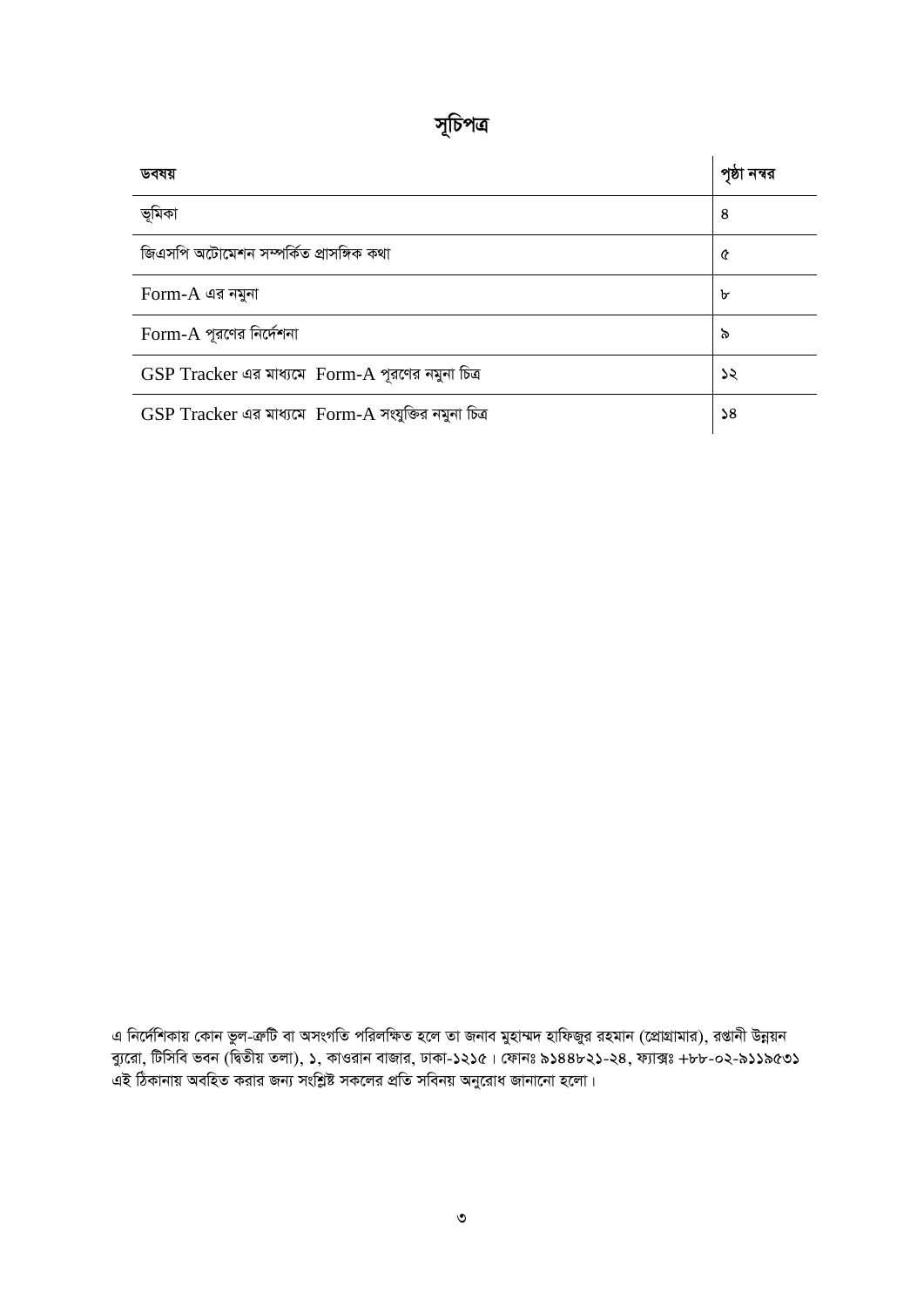| Ш | D<br>N |  |
|---|--------|--|
|   |        |  |

| ডবষয়                                                     | পৃষ্ঠা নম্বর  |
|-----------------------------------------------------------|---------------|
| ভূমিকা                                                    | 8             |
| জিএসপি অটোমেশন সম্পর্কিত প্রাসঙ্গিক কথা                   | ৫             |
| $Form-A$ এর নমুনা                                         | ৮             |
| $Form-A$ পূরণের নির্দেশনা                                 | ৯             |
| GSP Tracker এর মাধ্যমে Form-A পূরণের নমুনা চিত্র          | ১২            |
| $GSP$ $Tracker$ এর মাধ্যমে $Form-A$ সংযুক্তির নমুনা চিত্র | $\mathsf{S}8$ |

*এ নির্দে*শিকায় কোন ভুল-ক্রটি বা অসংগতি পরিলক্ষিত হলে তা জনাব মুহাম্মদ হাফিজুর রহমান (প্রোগ্রামার), রপ্তানী উন্নয়ন *ব্যু*রো, টিসিবি ভবন (দ্বিতীয় তলা), ১, কাওরান বাজার, ঢাকা-১২১৫। ফোনঃ ৯১৪৪৮২১-২৪, ফ্যাক্সঃ +৮৮-০২-৯১১৯৫৩১ *GB wVKvbvq AewnZ Kivi Rb¨ mswkøó mK‡ji cÖwZ mwebq Aby‡iva Rvbv‡bv n‡jv|*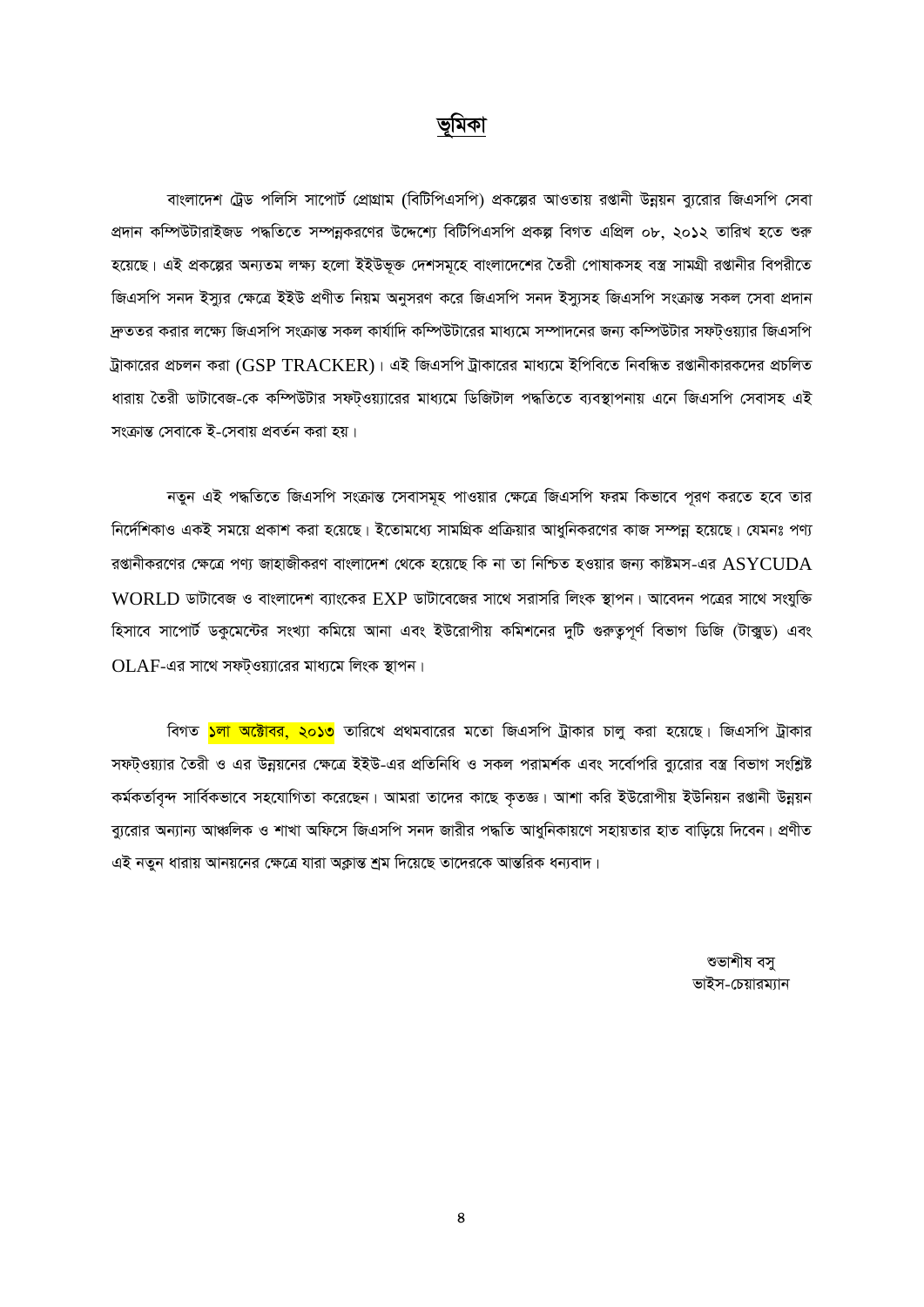#### ভূমিকা

বাংলাদেশ ট্রেড পলিসি সাপোর্ট প্রোগ্রাম (বিটিপিএসপি) প্রকল্পের আওতায় রপ্তানী উন্নয়ন ব্যুরোর জিএসপি সেবা প্রদান কম্পিউটারাইজড পদ্ধতিতে সম্পন্নকরণের উদ্দেশ্যে বিটিপিএসপি প্রকল্প বিগত এপ্রিল ০৮, ২০১২ তারিখ হতে শুরু হয়েছে। এই প্রকল্পের অন্যতম লক্ষ্য হলো ইইউভুক্ত দেশসমূহে বাংলাদেশের তৈরী পোষাকসহ বস্ত্র সামগ্রী রপ্তানীর বিপরীতে জিএসপি সনদ ইস্যুর ক্ষেত্রে ইইউ প্রণীত নিয়ম অনুসরণ করে জিএসপি সনদ ইস্যুসহ জিএসপি সংক্রান্ত সকল সেবা প্রদান দ্রুততর করার লক্ষ্যে জিএসপি সংক্রান্ত সকল কার্যাদি কম্পিউটারের মাধ্যমে সম্পাদনের জন্য কম্পিউটার সফটওয়্যার জিএসপি ট্রাকারের প্রচলন করা (GSP TRACKER)। এই জিএসপি ট্রাকারের মাধ্যমে ইপিবিতে নিবন্ধিত রপ্তানীকারকদের প্রচলিত ধারায় তৈরী ডাটাবেজ-কে কম্পিউটার সফট্ওয়্যারের মাধ্যমে ডিজিটাল পদ্ধতিতে ব্যবস্থাপনায় এনে জিএসপি সেবাসহ এই সংক্রান্ত সেবাকে ই-সেবায় প্রবর্তন করা হয়।

নতুন এই পদ্ধতিতে জিএসপি সংক্রান্ত সেবাসমূহ পাওয়ার ক্ষেত্রে জিএসপি ফরম কিভাবে পূরণ করতে হবে তার নির্দেশিকাও একই সময়ে প্রকাশ করা হয়েছে। ইতোমধ্যে সামগ্রিক প্রক্রিয়ার আধুনিকরণের কাজ সম্পন্ন হয়েছে। যেমনঃ পণ্য রপ্তানীকরণের ক্ষেত্রে পণ্য জাহাজীকরণ বাংলাদেশ থেকে হয়েছে কি না তা নিশ্চিত হওয়ার জন্য কাষ্টমস-এর  $\operatorname{ASYCUDA}$ WORLD ডাটাবেজ ও বাংলাদেশ ব্যাংকের EXP ডাটাবেজের সাথে সরাসরি লিংক স্থাপন। আবেদন পত্রের সাথে সংযুক্তি হিসাবে সাপোর্ট ডকুমেন্টের সংখ্যা কমিয়ে আনা এবং ইউরোপীয় কমিশনের দুটি গুরুতুপূর্ণ বিভাগ ডিজি (টাক্সুড) এবং  $OLAF$ -এর সাথে সফটওয়্যারের মাধ্যমে লিংক স্থাপন।

বিগত <mark>১লা অক্টোবর, ২০১৩</mark> তারিখে প্রথমবারের মতো জিএসপি ট্রাকার চালু করা হয়েছে। জিএসপি ট্রাকার সফটওয়্যার তৈরী ও এর উন্নয়নের ক্ষেত্রে ইইউ-এর প্রতিনিধি ও সকল পরামর্শক এবং সর্বোপরি ব্যরোর বস্ত্র বিভাগ সংশ্লিষ্ট কর্মকর্তাবৃন্দ সার্বিকভাবে সহযোগিতা করেছেন। আমরা তাদের কাছে কৃতজ্ঞ। আশা করি ইউরোপীয় ইউনিয়ন রপ্তানী উন্নয়ন ব্যুরোর অন্যান্য আঞ্চলিক ও শাখা অফিসে জিএসপি সনদ জারীর পদ্ধতি আধুনিকায়ণে সহায়তার হাত বাড়িয়ে দিবেন। প্রণীত এই নতুন ধারায় আনয়নের ক্ষেত্রে যারা অক্লান্ত শ্রম দিয়েছে তাদেরকে আন্তরিক ধন্যবাদ।

> শুভাশীষ বস ভাইস-চেয়ারম্যান

8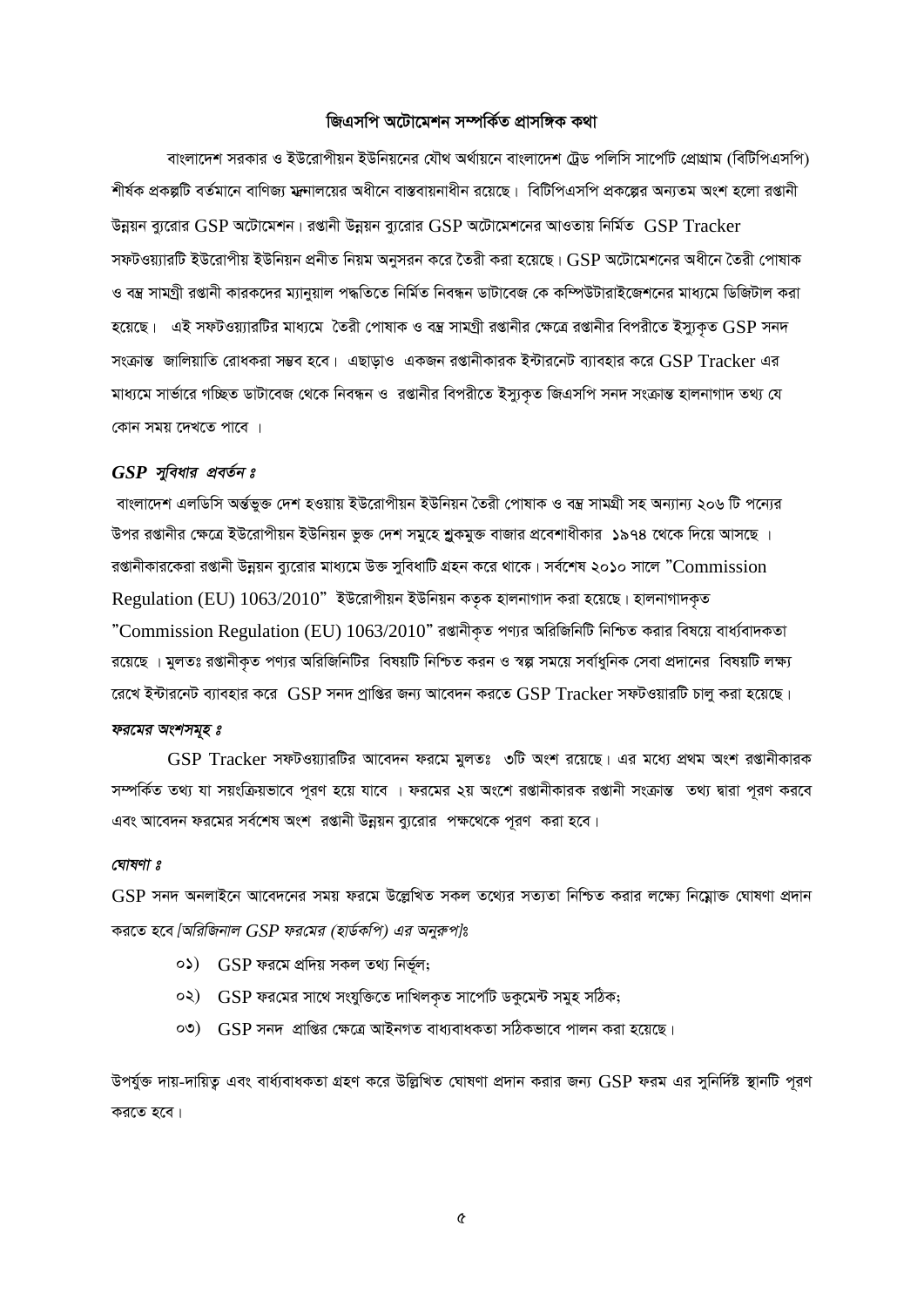#### *জিএসপি অটোমেশন সম্পৰ্কিত প্ৰাসঙ্গিক কথা*

বাংলাদেশ সরকার ও ইউরোপীয়ন ইউনিয়নের যৌথ অর্থায়নে বাংলাদেশ ট্রেড পলিসি সার্পেটি প্রোগ্রাম (বিটিপিএসপি) শীর্ষক প্রকল্পটি বর্তমানে বাণিজ্য মন্দ্রালয়ের অধীনে বাস্তবায়নাধীন রয়েছে। বিটিপিএসপি প্রকল্পের অন্যতম অংশ হলো রপ্তানী  $\vec{v}$ ন্নয়ন ব্যরোর GSP অটোমেশন। রপ্তানী উন্নয়ন ব্যরোর GSP অটোমেশনের আওতায় নির্মিত  $\vec{GSP}$  Tracker সফটওয়্যারটি ইউরোপীয় ইউনিয়ন প্রনীত নিয়ম অনুসরন করে তৈরী করা হয়েছে।  $\mathrm{GSP}$  অটোমেশনের অধীনে তৈরী পোষাক ও বম্ব সামগ্ৰী রপ্তানী কারকদের ম্যানুয়াল পদ্ধতিতে নির্মিত নিবন্ধন ডাটাবেজ কে কম্পিউটারাইজেশনের মাধ্যমে ডিজিটাল করা  $\bar{z}$ য়েছে। এই সফটওয়্যারটির মাধ্যমে তৈরী পোষাক ও বম্ব সামগ্রী রপ্তানীর ক্ষেত্রে রপ্তানীর বিপরীতে ইস্যুকৃত  $\operatorname{GSP}$  সনদ  $\,$ সংক্রান্ত জালিয়াতি রোধকরা সম্ভব হবে। এছাড়াও একজন রপ্তানীকারক ইন্টারনেট ব্যাবহার করে  $\, {\rm GSP \, Trace} \,$ এর মাধ্যমে সার্ভারে গচ্ছিত ডাটাবেজ থেকে নিবন্ধন ও রপ্তানীর বিপরীতে ইস্যুকৃত জিএসপি সনদ সংক্রান্ত হালনাগাদ তথ্য যে *কোন সময় দেখতে পাবে ।* 

#### *GSP* সুবিধার প্রবর্তন ঃ

*বাংলাদে*শ এলডিসি অৰ্ন্তভুক্ত দেশ হওয়ায় ইউরোপীয়ন ইউনিয়ন তৈরী পোষাক ও বম্ভ সামগ্রী সহ অন্যান্য ২০৬ টি পন্যের উপর রপ্তানীর ক্ষেত্রে ইউরোপীয়ন ইউনিয়ন ভুক্ত দেশ সমুহে শ্লকমুক্ত বাজার প্রবেশাধীকার ১৯৭৪ থেকে দিয়ে আসছে । রগুানীকারকেরা রগুানী উন্নয়ন ব্যুরোর মাধ্যমে উক্ত সুবিধাটি গ্রহন করে থাকে। সর্বশেষ ২০১০ সালে "Commission Regulation (EU) 1063/2010<sup>"</sup> ইউরোপীয়ন ইউনিয়ন কতৃক হালনাগাদ করা হয়েছে। হালনাগাদকৃত ''Commission Regulation (EU) 1063/2010" রপ্তানীকৃত পণ্যর অরিজিনিটি নিশ্চিত করার বিষয়ে বার্ধ্যবাদকতা রয়েছে । মুলতঃ রপ্তানীকৃত পণ্যর অরিজিনিটির বিষয়টি নিশ্চিত করন ও স্বল্প সময়ে সর্বাধুনিক সেবা প্রদানের বিষয়টি লক্ষ্য *‡i‡L B›Uvi‡bU e¨venvi K‡i* GSP *mb` cªvwßi Rb¨ Av‡e`b Ki‡Z* GSP Tracker *mdUIqviwU Pvjy Kiv n‡q‡Q|* 

#### *ফরমের অংশসমূহ ঃ*

 $\operatorname{GSP}$  Tracker সফটওয়্যারটির আবেদন ফরমে মুলতঃ ৩টি অংশ রয়েছে। এর মধ্যে প্রথম অংশ রপ্তানীকারক সম্পর্কিত তথ্য যা সয়ংক্রিয়ভাবে পরণ হয়ে যাবে । ফরমের ২য় অংশে রপ্তানীকারক রপ্তানী সংক্রান্ত তথ্য দ্বারা পরণ করবে এবং আবেদন ফরমের সর্বশেষ অংশ রপ্তানী উন্নয়ন ব্যুরোর পক্ষথেকে পূরণ করা হবে।

#### *†NvlYv t*

 $\operatorname{GSP}$  সনদ অনলাইনে আবেদনের সময় ফরমে উল্লেখিত সকল তথ্যের সত্যতা নিশ্চিত করার লক্ষ্যে নিম্নোক্ত ঘোষণা প্রদান  $\frac{1}{2}$  করতে হবে *[অরিজিনাল*  $GSP$  *ফরমের (হার্ডকপি) এর অনুরুপ]*ঃ

- *01)* GSP *di‡g cÖw`q mKj Z\_¨ wbf~©j;*
- *02)* GSP *di†gi mv‡\_ mshyw³‡Z `vwLjK…Z mv‡cv©U WKz‡g›U mgyn mwVK;*
- *03)* GSP *mb` cÖvwßi †¶‡Î AvBbMZ eva¨evaKZv mwVKfv‡e cvjb Kiv n‡q‡Q|*

*Dchy©³ `vq-`vwqZ¡ Ges eva©¨evaKZv MÖnY K‡i DwjøwLZ †NvlYv cÖ`vb Kivi Rb¨* GSP *dig Gi mywbw`©ó ¯'vbwU c~iY Ki‡Z n‡e|*

*5*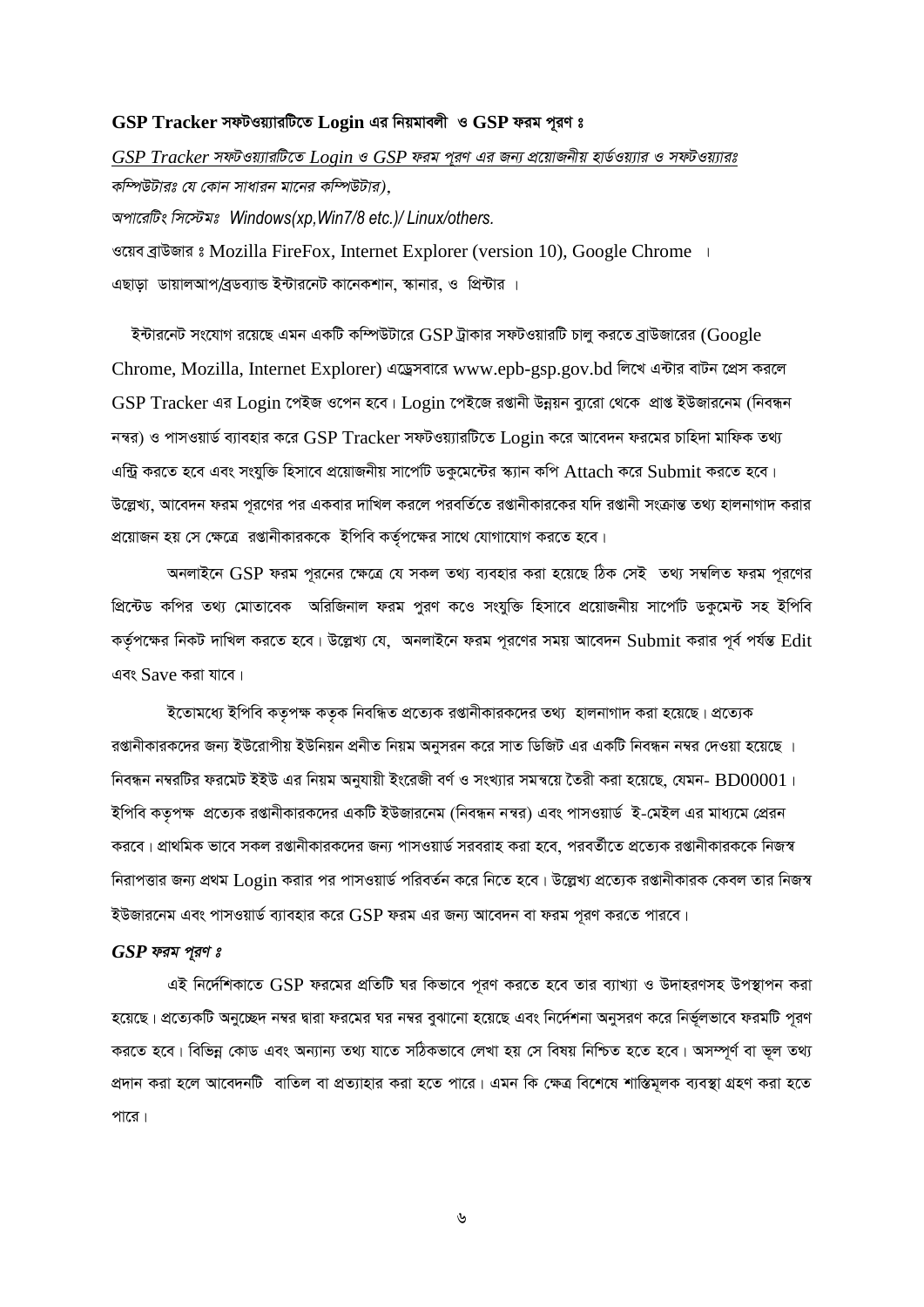#### GSP Tracker সফটওয়্যারটিতে Login এর নিয়মাবলী ও GSP ফরম পূরণ ঃ

 $GSP\ Tracker$  সফটওয়্যারটিতে  $Login$  ও  $GSP$  ফরম প্রণ এর জন্য প্রয়োজনীয় হার্ডওয়্যার ও সফটওয়্যারঃ *কম্পিউটারঃ যে কোন সাধারন মানের কম্পিউটার)*, *Acv‡iwUs wm‡÷gt Windows(xp,Win7/8 etc.)/ Linux/others.*  $\sigma$ দ্বয়ব ব্ৰাউজার ঃ Mozilla FireFox, Internet Explorer (version 10), Google Chrome । এছাডা ডায়ালআপ/বডব্যান্ড ইন্টারনেট কানেকশান, স্কানার, ও প্রিন্টার ।

 $\bar{z}$ ন্টারনেট সংযোগ রয়েছে এমন একটি কম্পিউটারে GSP ট্রাকার সফটওয়ারটি চালু করতে ব্রাউজারের (Google Chrome, Mozilla, Internet Explorer) এড্ৰেসবারে www.epb-gsp.gov.bd লিখে এন্টার বাটন প্রেস করলে  $GSP$  Tracker এর Login পেইজ ওপেন হবে। Login পেইজে রপ্তানী উন্নয়ন ব্যুরো থেকে প্রাপ্ত ইউজারনেম (নিবন্ধন  $\bar{n}$ দ্বর) ও পাসওয়ার্ড ব্যাবহার করে GSP Tracker সফটওয়্যারটিতে Login করে আবেদন ফরমের চাহিদা মাফিক তথ্য  $4$ ন্ট্রি করতে হবে এবং সংযুক্তি হিসাবে প্রয়োজনীয় সার্পেটি ডকুমেন্টের স্ক্যান কপি Attach করে Submit করতে হবে। উল্লেখ্য, আবেদন ফরম পরণের পর একবার দাখিল করলে পরবর্তিতে রপ্তানীকারকের যদি রপ্তানী সংক্রান্ত তথ্য হালনাগাদ করার  $\alpha$ য়োজন হয় সে ক্ষেত্রে রপ্তানীকারককে ইপিবি কর্তৃপক্ষের সাথে যোগাযোগ করতে হবে।

*AbjvB‡b* GSP *dig c~i‡bi ‡¶‡Î †h mKj Z\_¨ e¨envi Kiv n‡q‡Q wVK †mB Z\_¨ m¤^wjZ dig c~i‡Yi প্রিন্টেড কপির তথ্য মোতাবেক* অরিজিনাল ফরম পুরণ কওে সংযুক্তি হিসাবে প্রয়োজনীয় সাপেটি ডকুমেন্ট সহ ইপিবি কর্তৃপক্ষের নিকট দাখিল করতে হবে। উল্লেখ্য যে, অনলাইনে ফরম পূরণের সময় আবেদন Submit করার পূর্ব পর্যন্ত Edit এবং Save করা যাবে।

 $\bar{z}$ তোমধ্যে ইপিবি কতৃপক্ষ কতৃক নিবন্ধিত প্ৰত্যেক রপ্তানীকারকদের তথ্য হালনাগাদ করা হয়েছে। প্রত্যেক রপ্তানীকারকদের জন্য ইউরোপীয় ইউনিয়ন প্রনীত নিয়ম অনুসরন করে সাত ডিজিট এর একটি নিবন্ধন নম্বর দেওয়া হয়েছে ।  $\widehat{r}$ বিন্ধন নম্বরটির ফরমেট ইইউ এর নিয়ম অনুযায়ী ইংরেজী বর্ণ ও সংখ্যার সমন্বয়ে তৈরী করা হয়েছে, যেমন-  $\mathrm{BD}00001$ । ইপিবি কতৃপক্ষ প্রত্যেক রপ্তানীকারকদের একটি ইউজারনেম (নিবন্ধন নম্বর) এবং পাসওয়ার্ড ই-মেইল এর মাধ্যমে প্রেরন *কর*বে। প্রাথমিক ভাবে সকল রপ্তানীকারকদের জন্য পাসওয়ার্ড সরবরাহ করা হবে, পরবর্তীতে প্রত্যেক রপ্তানীকারককে নিজস্ব *দি*রাপত্তার জন্য প্রথম Login করার পর পাসওয়ার্ড পরিবর্তন করে নিতে হবে। উল্লেখ্য প্রত্যেক রপ্তানীকারক কেবল তার নিজস্ব ইউজারনেম এবং পাসওয়ার্ড ব্যাবহার করে  $\mathrm{GSP}$  ফরম এর জন্য আবেদন বা ফরম পরণ করতে পারবে।

#### *GSP* ফরম পূরণ ঃ

এই নির্দেশিকাতে GSP ফরমের প্রতিটি ঘর কিভাবে পূরণ করতে হবে তার ব্যাখ্যা ও উদাহরণসহ উপস্থাপন করা *হ*য়েছে। প্রত্যেকটি অনুচ্ছেদ নম্বর দ্বারা ফরমের ঘর নম্বর বুঝানো হয়েছে এবং নির্দেশনা অনুসরণ করে নির্ভূলভাবে ফরমটি পূরণ করতে হবে। বিভিন্ন কোড এবং অন্যান্য তথ্য যাতে সঠিকভাবে লেখা হয় সে বিষয় নিশ্চিত হতে হবে। অসম্পূর্ণ বা ভূল তথ্য প্রদান করা হলে আবেদনটি বাতিল বা প্রত্যাহার করা হতে পারে। এমন কি ক্ষেত্র বিশেষে শাস্তিমূলক ব্যবস্থা গ্রহণ করা হতে <u>পারে।</u>

*6*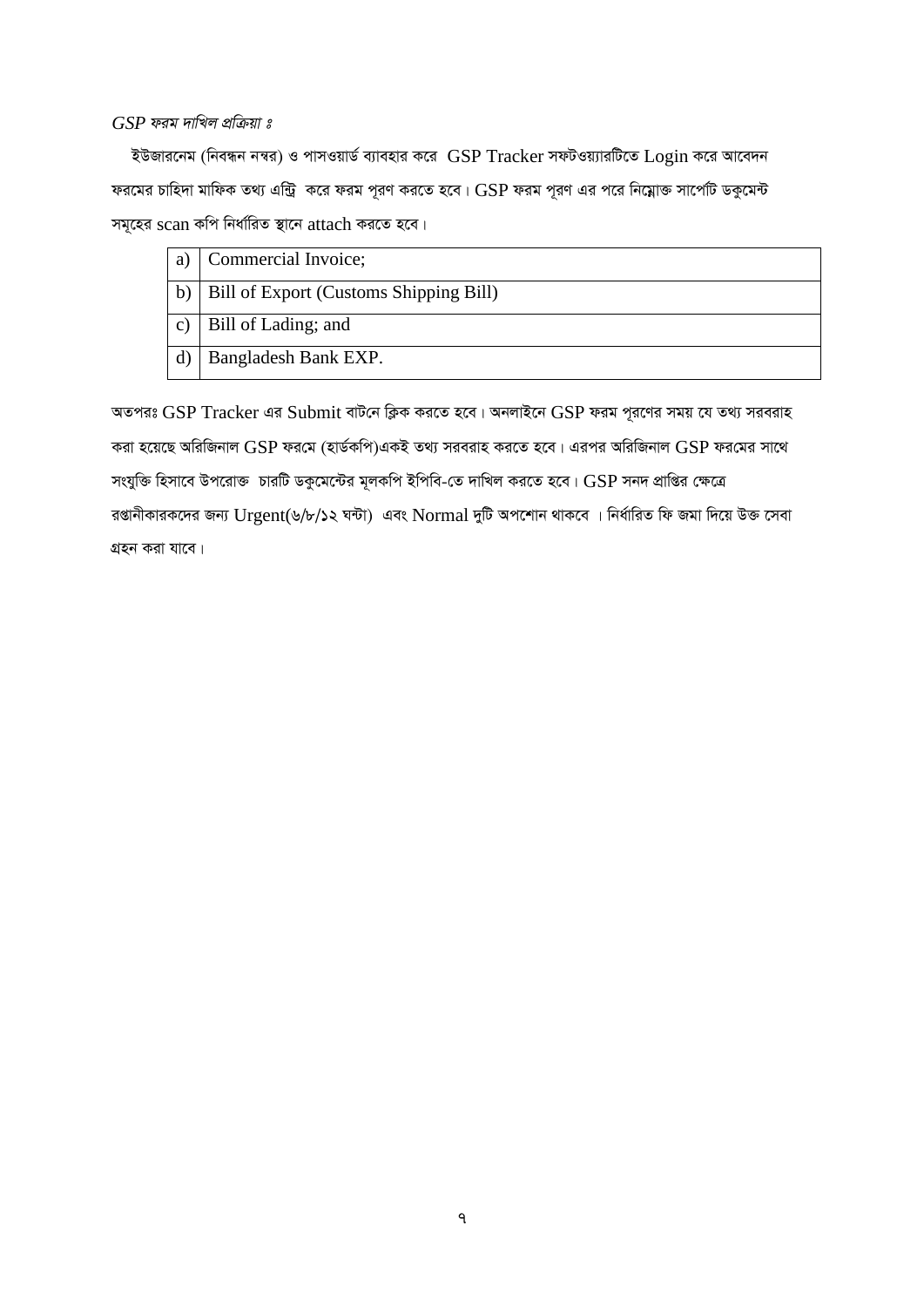#### $GSP$  ফরম দাখিল প্রক্রিয়া ঃ

ইউজারনেম (নিবন্ধন নম্বর) ও পাসওয়ার্ড ব্যাবহার করে  $\, {\rm GSP \, Trace}$ দি ${\rm G}$ জ্যারটিতে  ${\rm Log}$ in করে আবেদন ফরমের চাহিদা মাফিক তথ্য এন্ট্রি করে ফরম পূরণ করতে হবে।  $\operatorname{GSP}$  ফরম পূরণ এর পরে নিম্নোক্ত সার্পেটি ডকুমেন্ট সমূহের scan কপি নির্ধারিত স্থানে attach করতে হবে।

| a            | Commercial Invoice;                    |
|--------------|----------------------------------------|
| $\mathbf{b}$ | Bill of Export (Customs Shipping Bill) |
|              | Bill of Lading; and                    |
|              | Bangladesh Bank EXP.                   |

অতপরঃ GSP Tracker এর Submit বাটনে ক্লিক করতে হবে। অনলাইনে GSP ফরম পূরণের সময় যে তথ্য সরবরাহ করা হয়েছে অরিজিনাল  $\operatorname{GSP}$  ফরমে (হার্ডকপি)একই তথ্য সরবরাহ করতে হবে। এরপর অরিজিনাল  $\operatorname{GSP}$  ফরমের সাথে সংযুক্তি হিসাবে উপরোক্ত চারটি ডকুমেন্টের মূলকপি ইপিবি-তে দাখিল করতে হবে। GSP সনদ প্রাপ্তির ক্ষেত্রে রপ্তানীকারকদের জন্য Urgent(৬/৮/১২ ঘন্টা) এবং Normal দুটি অপশোন থাকবে । নির্ধারিত ফি জমা দিয়ে উক্ত সেবা গ্রহন করা যাবে।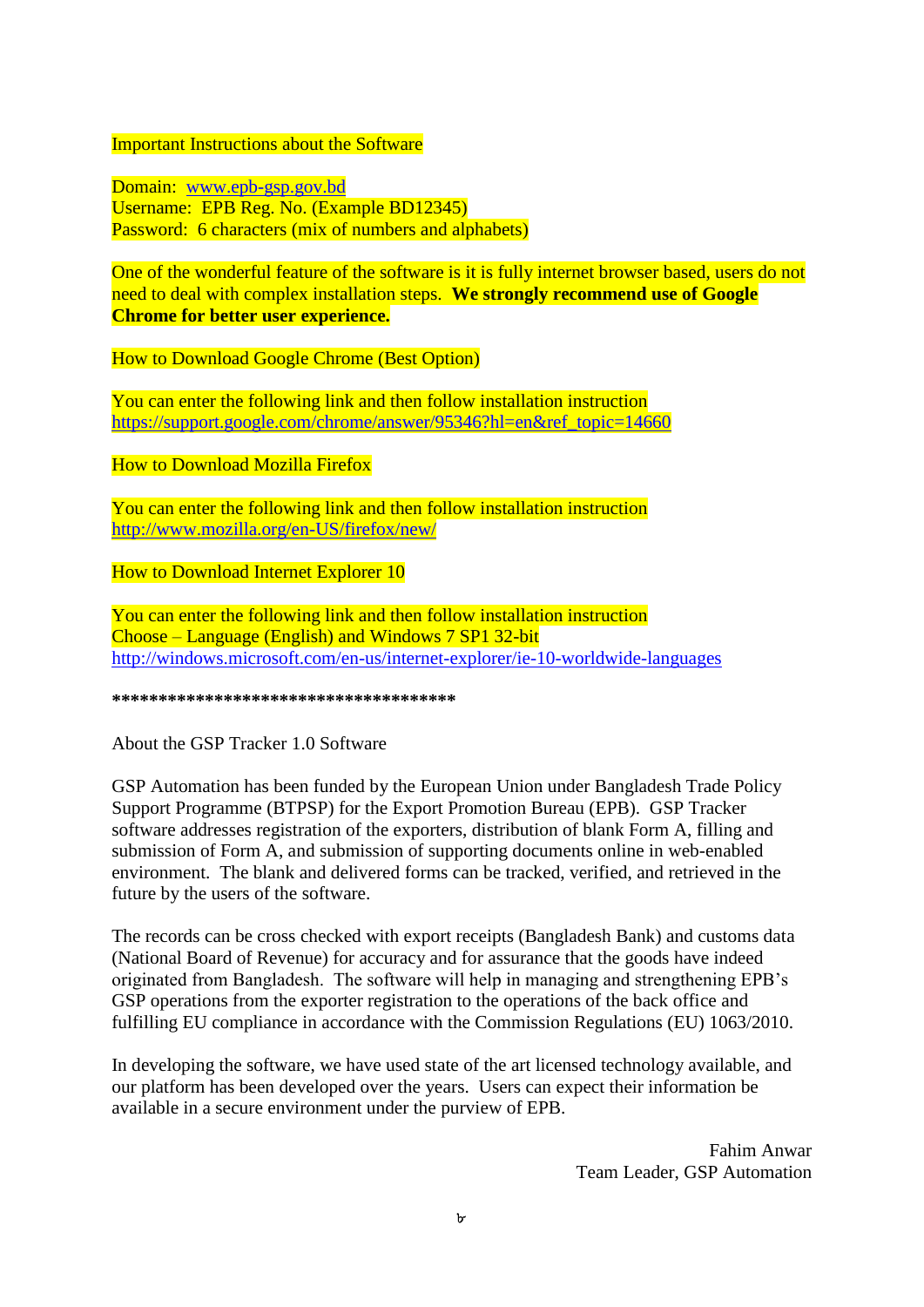#### Important Instructions about the Software

Domain: [www.epb-gsp.gov.bd](http://www.epb-gsp.gov.bd/) Username: EPB Reg. No. (Example BD12345) Password: 6 characters (mix of numbers and alphabets)

One of the wonderful feature of the software is it is fully internet browser based, users do not need to deal with complex installation steps. **We strongly recommend use of Google Chrome for better user experience.** 

How to Download Google Chrome (Best Option)

You can enter the following link and then follow installation instruction [https://support.google.com/chrome/answer/95346?hl=en&ref\\_topic=14660](https://support.google.com/chrome/answer/95346?hl=en&ref_topic=14660)

How to Download Mozilla Firefox

You can enter the following link and then follow installation instruction <http://www.mozilla.org/en-US/firefox/new/>

How to Download Internet Explorer 10

You can enter the following link and then follow installation instruction Choose – Language (English) and Windows 7 SP1 32-bit <http://windows.microsoft.com/en-us/internet-explorer/ie-10-worldwide-languages>

**\*\*\*\*\*\*\*\*\*\*\*\*\*\*\*\*\*\*\*\*\*\*\*\*\*\*\*\*\*\*\*\*\*\*\*\*\***

About the GSP Tracker 1.0 Software

GSP Automation has been funded by the European Union under Bangladesh Trade Policy Support Programme (BTPSP) for the Export Promotion Bureau (EPB). GSP Tracker software addresses registration of the exporters, distribution of blank Form A, filling and submission of Form A, and submission of supporting documents online in web-enabled environment. The blank and delivered forms can be tracked, verified, and retrieved in the future by the users of the software.

The records can be cross checked with export receipts (Bangladesh Bank) and customs data (National Board of Revenue) for accuracy and for assurance that the goods have indeed originated from Bangladesh. The software will help in managing and strengthening EPB's GSP operations from the exporter registration to the operations of the back office and fulfilling EU compliance in accordance with the Commission Regulations (EU) 1063/2010.

In developing the software, we have used state of the art licensed technology available, and our platform has been developed over the years. Users can expect their information be available in a secure environment under the purview of EPB.

> Fahim Anwar Team Leader, GSP Automation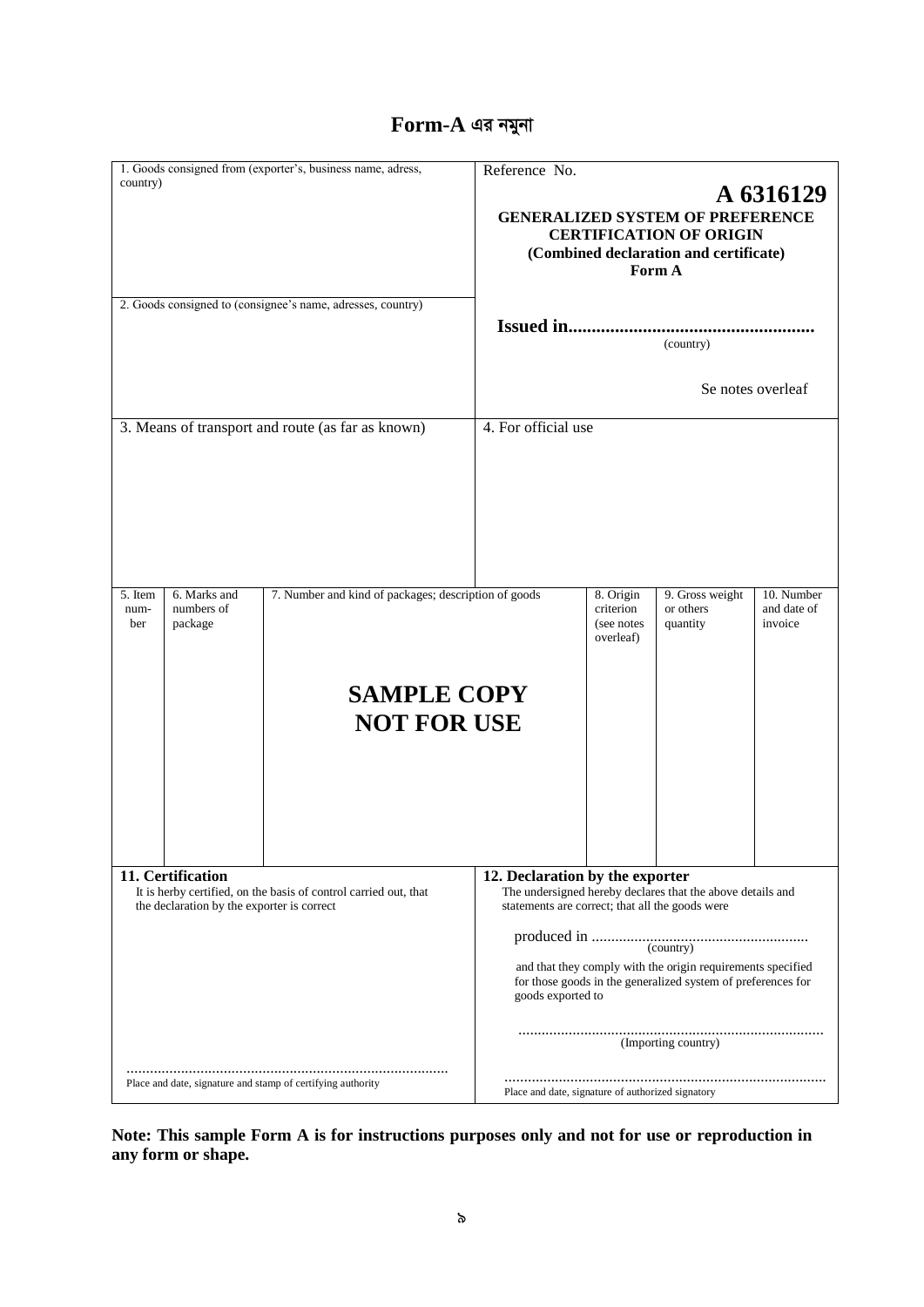# **Form-A এর নমুনা**

|                        |                                                                 | 1. Goods consigned from (exporter's, business name, adress,                                      | Reference No.                                                                                           |                                                    |                                                                                                                                                                                                                  |                                      |
|------------------------|-----------------------------------------------------------------|--------------------------------------------------------------------------------------------------|---------------------------------------------------------------------------------------------------------|----------------------------------------------------|------------------------------------------------------------------------------------------------------------------------------------------------------------------------------------------------------------------|--------------------------------------|
| country)               |                                                                 | 2. Goods consigned to (consignee's name, adresses, country)                                      |                                                                                                         |                                                    | <b>GENERALIZED SYSTEM OF PREFERENCE</b><br><b>CERTIFICATION OF ORIGIN</b><br>(Combined declaration and certificate)<br>Form A                                                                                    | A 6316129                            |
|                        |                                                                 |                                                                                                  |                                                                                                         |                                                    | (country)                                                                                                                                                                                                        |                                      |
|                        |                                                                 |                                                                                                  |                                                                                                         |                                                    |                                                                                                                                                                                                                  | Se notes overleaf                    |
|                        |                                                                 | 3. Means of transport and route (as far as known)                                                | 4. For official use                                                                                     |                                                    |                                                                                                                                                                                                                  |                                      |
| 5. Item<br>num-<br>ber | 6. Marks and<br>numbers of<br>package                           | 7. Number and kind of packages; description of goods<br><b>SAMPLE COPY</b><br><b>NOT FOR USE</b> |                                                                                                         | 8. Origin<br>criterion<br>(see notes)<br>overleaf) | 9. Gross weight<br>or others<br>quantity                                                                                                                                                                         | 10. Number<br>and date of<br>invoice |
|                        | 11. Certification<br>the declaration by the exporter is correct | It is herby certified, on the basis of control carried out, that                                 | 12. Declaration by the exporter<br>statements are correct; that all the goods were<br>goods exported to |                                                    | The undersigned hereby declares that the above details and<br>and that they comply with the origin requirements specified<br>for those goods in the generalized system of preferences for<br>(Importing country) |                                      |
|                        |                                                                 | Place and date, signature and stamp of certifying authority                                      | Place and date, signature of authorized signatory                                                       |                                                    |                                                                                                                                                                                                                  |                                      |

**Note: This sample Form A is for instructions purposes only and not for use or reproduction in any form or shape.**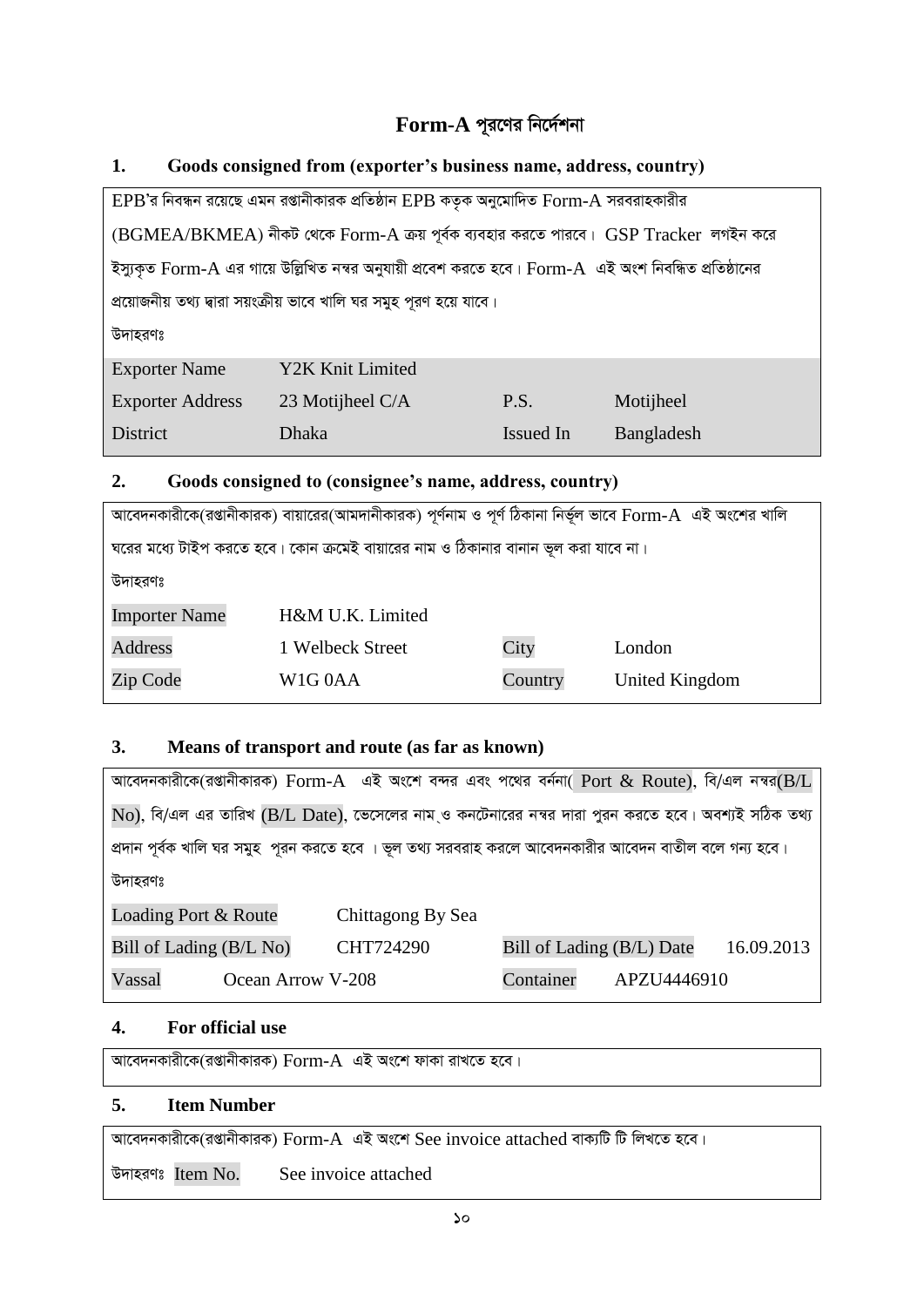# **Form-A পূরণের নির্দেশনা**

#### **1. Goods consigned from (exporter's business name, address, country)**

|                         | $EPB$ 'র নিবন্ধন রয়েছে এমন রপ্তানীকারক প্রতিষ্ঠান $EPB$ কতৃক অনুমোদিত $Form-A$ সরবরাহকারীর            |           |            |
|-------------------------|--------------------------------------------------------------------------------------------------------|-----------|------------|
|                         | (BGMEA/BKMEA) নীকট থেকে Form-A ক্রয় পূর্বক ব্যবহার করতে পারবে। GSP Tracker  লগইন করে                  |           |            |
|                         | ইস্যুকৃত Form-A এর গায়ে উল্লিখিত নম্বর অনুযায়ী প্রবেশ করতে হবে। Form-A  এই অংশ নিবন্ধিত প্রতিষ্ঠানের |           |            |
|                         | প্রয়োজনীয় তথ্য দ্বারা সয়ংক্রীয় ভাবে খালি ঘর সমুহ পূরণ হয়ে যাবে।                                   |           |            |
| উদাহরণঃ                 |                                                                                                        |           |            |
| <b>Exporter Name</b>    | Y2K Knit Limited                                                                                       |           |            |
| <b>Exporter Address</b> | 23 Motijheel C/A                                                                                       | P.S.      | Motijheel  |
| District                | Dhaka                                                                                                  | Issued In | Bangladesh |
|                         |                                                                                                        |           |            |

#### **2. Goods consigned to (consignee's name, address, country)**

|                      | আবেদনকারীকে(রপ্তানীকারক) বায়ারের(আমদানীকারক) পূর্ণনাম ও পূর্ণ ঠিকানা নির্ভূল ভাবে Form-A  এই অংশের খালি |         |                |
|----------------------|----------------------------------------------------------------------------------------------------------|---------|----------------|
|                      | ঘরের মধ্যে টাইপ করতে হবে। কোন ক্রমেই বায়ারের নাম ও ঠিকানার বানান ভূল করা যাবে না।                       |         |                |
| উদাহরণঃ              |                                                                                                          |         |                |
| <b>Importer Name</b> | H&M U.K. Limited                                                                                         |         |                |
| <b>Address</b>       | 1 Welbeck Street                                                                                         | City    | London         |
| Zip Code             | W <sub>1</sub> G <sub>0</sub> AA                                                                         | Country | United Kingdom |

#### **3. Means of transport and route (as far as known)**

| আবেদনকারীকে(রগুানীকারক) Form-A এই অংশে বন্দর এবং পথের বর্ননা( Port & Route), বি/এল নম্বর(B/L              |                   |                           |             |            |
|-----------------------------------------------------------------------------------------------------------|-------------------|---------------------------|-------------|------------|
| $\rm No$ ), বি/এল এর তারিখ (B/L Date), ভেসেলের নাম ও কনটেনারের নম্বর দারা পুরন করতে হবে। অবশ্যই সঠিক তথ্য |                   |                           |             |            |
| প্রদান পূর্বক খালি ঘর সমুহ পূরন করতে হবে । ভূল তথ্য সরবরাহ করলে আবেদনকারীর আবেদন বাতীল বলে গন্য হবে।      |                   |                           |             |            |
| উদাহরণঃ                                                                                                   |                   |                           |             |            |
| Loading Port & Route                                                                                      | Chittagong By Sea |                           |             |            |
| Bill of Lading (B/L No)                                                                                   | CHT724290         | Bill of Lading (B/L) Date |             | 16.09.2013 |
| Vassal<br>Ocean Arrow V-208                                                                               |                   | Container                 | APZU4446910 |            |

#### **4. For official use**

 $\overline{\text{Var}}$ দনকারীকে(রপ্তানীকারক)  $\overline{\text{Form-}\text{A}}$  এই অংশে ফাকা রাখতে হবে।

#### **5. Item Number**

 $\overline{\text{Var}}$ দেনকারীকে(রপ্তানীকারক)  $\overline{\text{Form-}}A$  এই অংশে  $\overline{\text{See}}$  invoice attached বাক্যটি টি লিখতে হবে।

উদাহরণঃ Item No. See invoice attached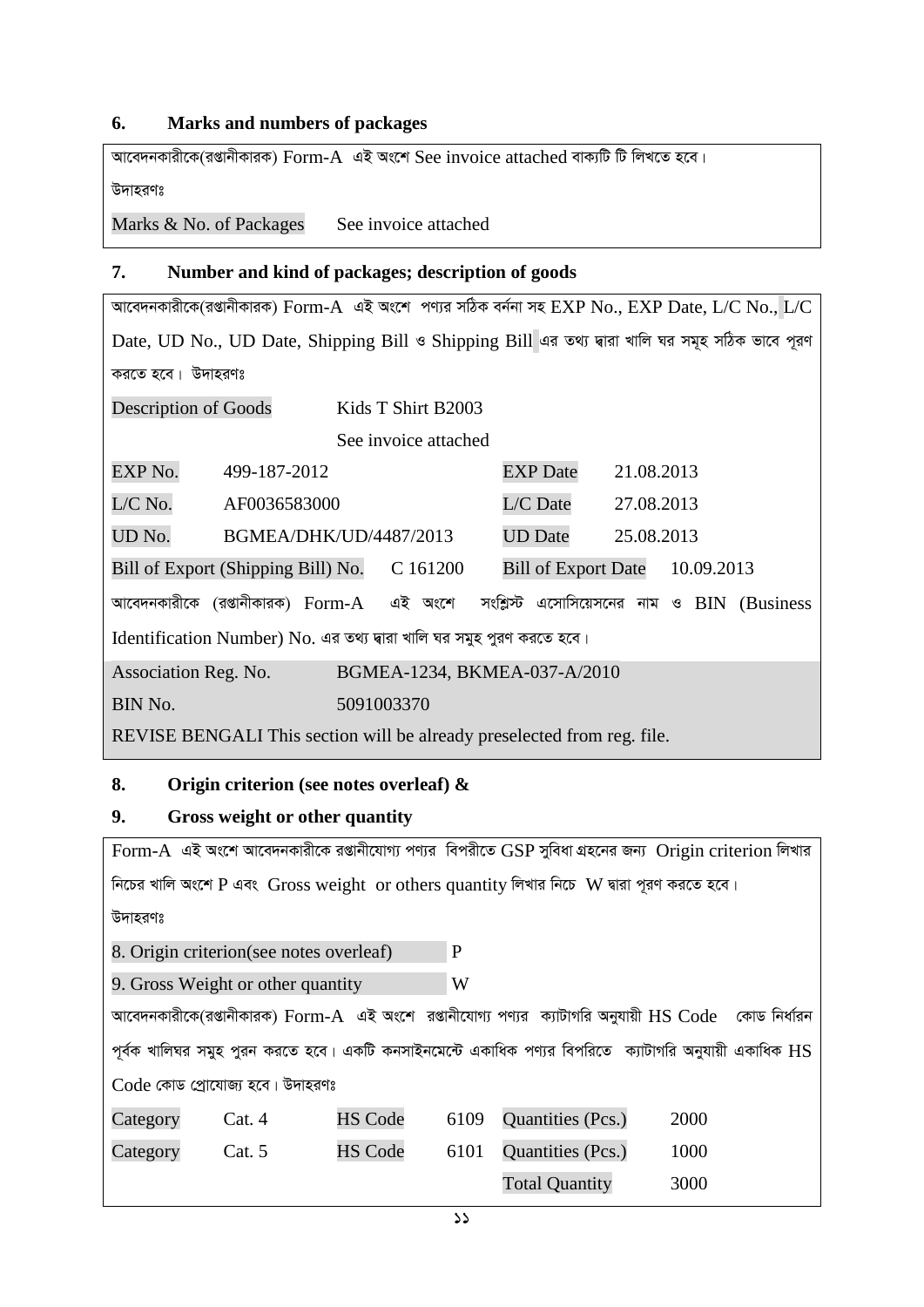#### **6. Marks and numbers of packages**

*Av‡e`bKvix‡K(ißvbxKviK)* Form-A *GB As‡k* See invoice attached *evK¨wU wU wjL‡Z n‡e|* 

*D`vniYt* 

Marks & No. of Packages See invoice attached

#### **7. Number and kind of packages; description of goods**

*Av‡e`bKvix‡K(ißvbxKviK)* Form-A *GB As‡k cY¨i mwVK eb©bv mn* EXP No., EXP Date, L/C No., L/C  $Date$ , UD No., UD Date, Shipping Bill *ও* Shipping Bill এর তথ্য দ্বারা খালি ঘর সমূহ সঠিক ভাবে পূরণ করতে হবে। উদাহরণঃ

| Description of Goods |                                                                         |            | Kids T Shirt B2003   |                                            |            |            |  |
|----------------------|-------------------------------------------------------------------------|------------|----------------------|--------------------------------------------|------------|------------|--|
|                      |                                                                         |            | See invoice attached |                                            |            |            |  |
| EXP No.              | 499-187-2012                                                            |            |                      | <b>EXP</b> Date                            | 21.08.2013 |            |  |
| L/C No.              | AF0036583000                                                            |            |                      | L/C Date                                   | 27.08.2013 |            |  |
| UD No.               | BGMEA/DHK/UD/4487/2013                                                  |            |                      | <b>UD</b> Date                             | 25.08.2013 |            |  |
|                      | Bill of Export (Shipping Bill) No.                                      |            | C 161200             | <b>Bill of Export Date</b>                 |            | 10.09.2013 |  |
|                      | আবেদনকারীকে (রপ্তানীকারক) $\operatorname{Form-A}$                       |            | এই অংশে              | সংশ্লিস্ট এসোসিয়েসনের নাম ও BIN (Business |            |            |  |
|                      | Identification Number) No. এর তথ্য দ্বারা খালি ঘর সমুহ পুরণ করতে হবে।   |            |                      |                                            |            |            |  |
| Association Reg. No. |                                                                         |            |                      | BGMEA-1234, BKMEA-037-A/2010               |            |            |  |
| BIN No.              |                                                                         | 5091003370 |                      |                                            |            |            |  |
|                      | REVISE BENGALI This section will be already preselected from reg. file. |            |                      |                                            |            |            |  |

#### **8. Origin criterion (see notes overleaf) &**

#### **9. Gross weight or other quantity**

Form-A *GB As‡k Av‡e`bKvix‡K ißvbx‡hvM¨ cY¨i wecix‡Z* GSP *myweav MÖn‡bi Rb¨* Origin criterion *wjLvi Fic*bর খালি অংশে P এবং Gross weight or others quantity লিখার নিচে W দ্বারা পূরণ করতে হবে। *D`vniYt*  8. Origin criterion(see notes overleaf) P 9. Gross Weight or other quantity W  $\overline{A}$ সাবেদনকারীকে(রপ্তানীকারক)  $\overline{F}$ orm-A এই অংশে রপ্তানীযোগ্য পণ্যর ক্যাটাগরি অনুযায়ী  $\overline{HS}$  Code কোড নির্ধারন  $\gamma$ র্বক খালিঘর সমুহ পুরন করতে হবে। একটি কনসাইনমেন্টে একাধিক পণ্যর বিপরিতে ক্যাটাগরি অনুযায়ী একাধিক  $\operatorname{HS}$  $Code$  কোড পোযোজ্য হবে। উদাহরণঃ Category Cat. 4 HS Code 6109 Quantities (Pcs.) 2000 Category Cat. 5 HS Code 6101 Quantities (Pcs.) 1000 Total Quantity 3000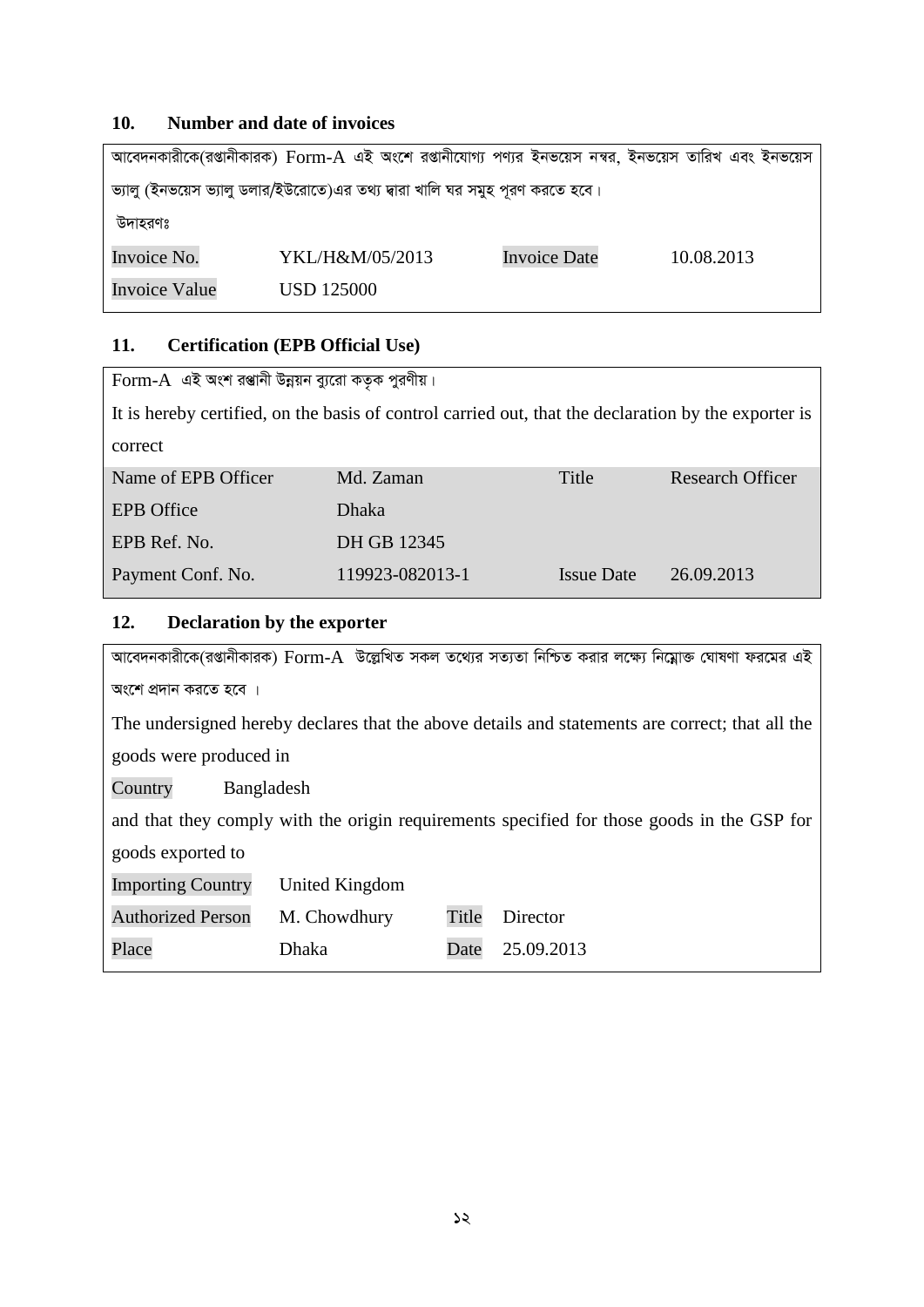#### **10. Number and date of invoices**

|                      | আবেদনকারীকে(রপ্তানীকারক) Form-A এই অংশে রপ্তানীযোগ্য পণ্যর ইনভয়েস নম্বর, ইনভয়েস তারিখ এবং ইনভয়েস |                     |            |  |
|----------------------|-----------------------------------------------------------------------------------------------------|---------------------|------------|--|
|                      | ভ্যালু (ইনভয়েস ভ্যালু ডলার/ইউরোতে)এর তথ্য দ্বারা খালি ঘর সমুহ পূরণ করতে হবে।                       |                     |            |  |
| উদাহরণঃ              |                                                                                                     |                     |            |  |
| Invoice No.          | YKL/H&M/05/2013                                                                                     | <b>Invoice Date</b> | 10.08.2013 |  |
| <b>Invoice Value</b> | USD 125000                                                                                          |                     |            |  |

#### **11. Certification (EPB Official Use)**

| $\Gamma$ orm-A এই অংশ রপ্তানী উন্নয়ন ব্যুরো কতৃক পুরণীয়। |                                                                                                                        |                   |                         |
|------------------------------------------------------------|------------------------------------------------------------------------------------------------------------------------|-------------------|-------------------------|
|                                                            | It is hereby certified, on the basis of control carried out, that the declaration by the exporter is                   |                   |                         |
| correct                                                    |                                                                                                                        |                   |                         |
| Name of EPB Officer                                        | Md. Zaman                                                                                                              | Title             | <b>Research Officer</b> |
| <b>EPB</b> Office                                          | Dhaka                                                                                                                  |                   |                         |
| EPB Ref. No.                                               | DH GB 12345                                                                                                            |                   |                         |
| Payment Conf. No.                                          | 119923-082013-1                                                                                                        | <b>Issue Date</b> | 26.09.2013              |
| 12.<br>Declaration by the exporter                         |                                                                                                                        |                   |                         |
|                                                            | আবেদনকারীকে(রপ্তানীকারক) $\rm{Form}\text{-}A$ উল্লেখিত সকল তথ্যের সত্যতা নিশ্চিত করার লক্ষ্যে নিম্লোক্ত ঘোষণা ফরমের এই |                   |                         |
| অংশে প্রদান করতে হবে ।                                     |                                                                                                                        |                   |                         |
|                                                            | The undersigned hereby declares that the above details and statements are correct; that all the                        |                   |                         |
| goods were produced in                                     |                                                                                                                        |                   |                         |
| Country<br>Bangladesh                                      |                                                                                                                        |                   |                         |
|                                                            | and that they comply with the origin requirements specified for those goods in the GSP for                             |                   |                         |
| goods exported to                                          |                                                                                                                        |                   |                         |
| <b>Importing Country</b>                                   | <b>United Kingdom</b>                                                                                                  |                   |                         |
| <b>Authorized Person</b>                                   | Title<br>M. Chowdhury<br>Director                                                                                      |                   |                         |

*12*

Place Dhaka Date 25.09.2013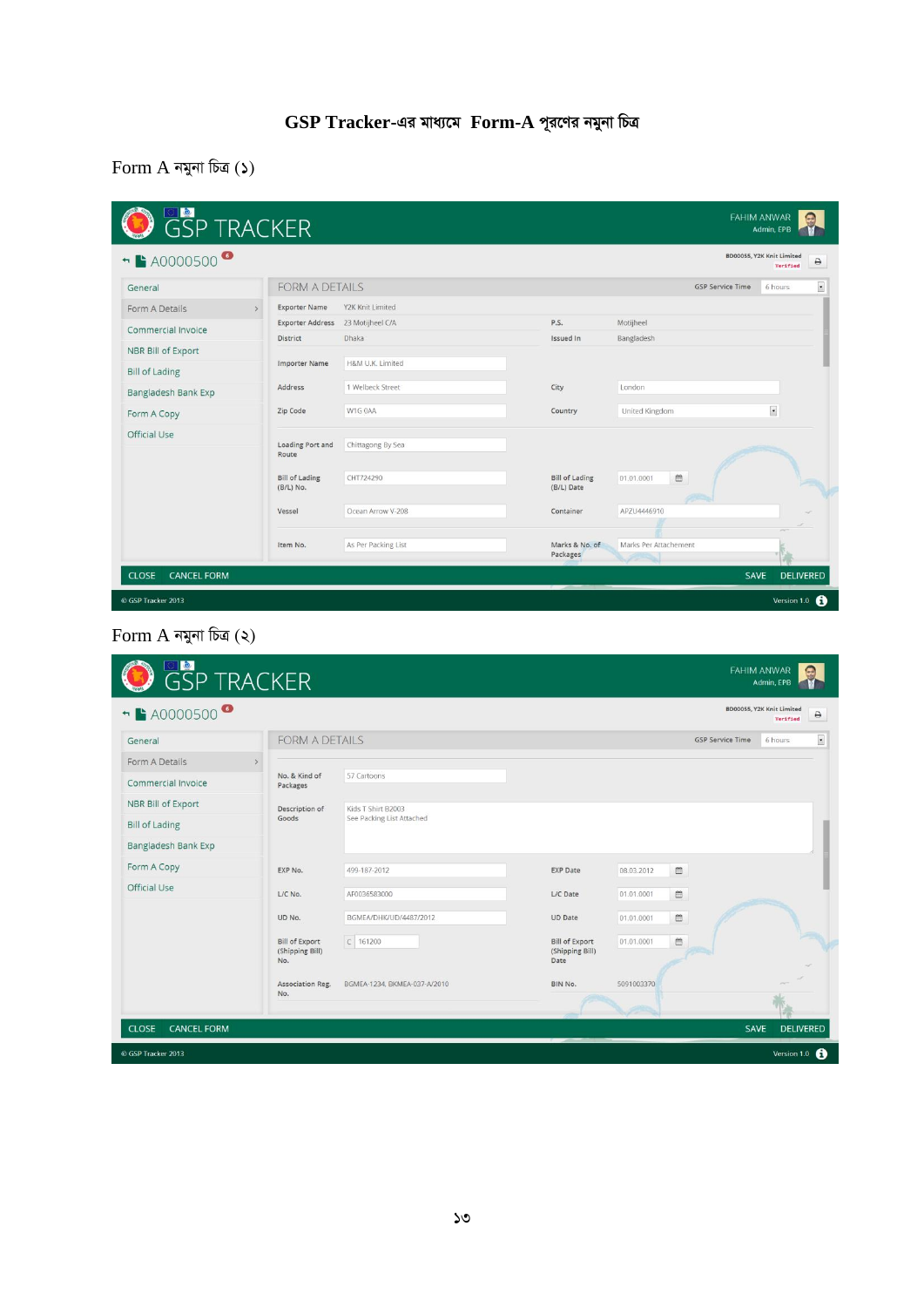# **GSP Tracker-***Gi gva¨‡g* **Form-A** *c~i‡Yi bgybv wPÎ*

Form A *bgybv wPÎ (1)*

| <b>FORM A DETAILS</b><br><b>GSP Service Time</b><br>6 hours<br>Y2K Knit Limited<br><b>Exporter Name</b><br>$\mathcal{L}$<br>P.S.<br>Motijheel<br><b>Exporter Address</b><br>23 Motijheel C/A<br>Commercial Invoice<br><b>Dhaka</b><br>Bangladesh<br><b>Issued In</b><br><b>District</b><br>NBR Bill of Export<br>H&M U.K. Limited<br><b>Importer Name</b><br>1 Welbeck Street<br>London<br>Address<br>City<br>Bangladesh Bank Exp<br>$\overline{\phantom{a}}$<br>W1G 0AA<br>United Kingdom<br>Zip Code<br>Country<br>Official Use<br>Loading Port and<br>Chittagong By Sea<br>Route<br>$\widehat{\Xi}$<br><b>Bill of Lading</b><br>CHT724290<br><b>Bill of Lading</b><br>01.01.0001<br>(B/L) No.<br>(B/L) Date<br>Ocean Arrow V-208<br>Container<br>APZU4446910<br>Vessel<br>Marks Per Attachement<br>As Per Packing List<br>Marks & No. of<br>Item No.<br>Packages | <b>GSP TRACKER</b><br>→ A0000500 |  |  | BD00055, Y2K Knit Limited<br>Verified |
|---------------------------------------------------------------------------------------------------------------------------------------------------------------------------------------------------------------------------------------------------------------------------------------------------------------------------------------------------------------------------------------------------------------------------------------------------------------------------------------------------------------------------------------------------------------------------------------------------------------------------------------------------------------------------------------------------------------------------------------------------------------------------------------------------------------------------------------------------------------------|----------------------------------|--|--|---------------------------------------|
|                                                                                                                                                                                                                                                                                                                                                                                                                                                                                                                                                                                                                                                                                                                                                                                                                                                                     | General                          |  |  |                                       |
|                                                                                                                                                                                                                                                                                                                                                                                                                                                                                                                                                                                                                                                                                                                                                                                                                                                                     | Form A Details                   |  |  |                                       |
|                                                                                                                                                                                                                                                                                                                                                                                                                                                                                                                                                                                                                                                                                                                                                                                                                                                                     |                                  |  |  |                                       |
|                                                                                                                                                                                                                                                                                                                                                                                                                                                                                                                                                                                                                                                                                                                                                                                                                                                                     |                                  |  |  |                                       |
|                                                                                                                                                                                                                                                                                                                                                                                                                                                                                                                                                                                                                                                                                                                                                                                                                                                                     | <b>Bill of Lading</b>            |  |  |                                       |
|                                                                                                                                                                                                                                                                                                                                                                                                                                                                                                                                                                                                                                                                                                                                                                                                                                                                     |                                  |  |  |                                       |
|                                                                                                                                                                                                                                                                                                                                                                                                                                                                                                                                                                                                                                                                                                                                                                                                                                                                     | Form A Copy                      |  |  |                                       |
|                                                                                                                                                                                                                                                                                                                                                                                                                                                                                                                                                                                                                                                                                                                                                                                                                                                                     |                                  |  |  |                                       |
|                                                                                                                                                                                                                                                                                                                                                                                                                                                                                                                                                                                                                                                                                                                                                                                                                                                                     |                                  |  |  |                                       |
|                                                                                                                                                                                                                                                                                                                                                                                                                                                                                                                                                                                                                                                                                                                                                                                                                                                                     |                                  |  |  |                                       |
|                                                                                                                                                                                                                                                                                                                                                                                                                                                                                                                                                                                                                                                                                                                                                                                                                                                                     |                                  |  |  |                                       |

# Form A *bgybv wPÎ (2)*

| + 20000500            |                                                 |                              |                                                  |            |                               | BD00055, Y2K Knit Limited<br>Verified | $\ominus$                |
|-----------------------|-------------------------------------------------|------------------------------|--------------------------------------------------|------------|-------------------------------|---------------------------------------|--------------------------|
| General               | <b>FORM A DETAILS</b>                           |                              |                                                  |            | <b>GSP Service Time</b>       | 6 hours                               | $\overline{\phantom{a}}$ |
| Form A Details        | $\rightarrow$                                   |                              |                                                  |            |                               |                                       |                          |
| Commercial Invoice    | No. & Kind of<br>Packages                       | 57 Cartoons                  |                                                  |            |                               |                                       |                          |
| NBR Bill of Export    | Description of                                  | Kids T Shirt B2003           |                                                  |            |                               |                                       |                          |
| <b>Bill of Lading</b> | Goods                                           | See Packing List Attached    |                                                  |            |                               |                                       |                          |
| Bangladesh Bank Exp   |                                                 |                              |                                                  |            |                               |                                       |                          |
| Form A Copy           | EXP No.                                         | 499-187-2012                 | <b>EXP Date</b>                                  | 08.03.2012 | $\mathrel{\mathop{\boxplus}}$ |                                       |                          |
| Official Use          | L/C No.                                         | AF0036583000                 | L/C Date                                         | 01.01.0001 | 曲                             |                                       |                          |
|                       | UD No.                                          | BGMEA/DHK/UD/4487/2012       | <b>UD</b> Date                                   | 01.01.0001 | $\blacksquare$                |                                       |                          |
|                       | <b>Bill of Export</b><br>(Shipping Bill)<br>No. | $C$ 161200                   | <b>Bill of Export</b><br>(Shipping Bill)<br>Date | 01.01.0001 | $\mathfrak{m}$                |                                       |                          |
|                       | Association Reg.<br>No.                         | BGMEA-1234, BKMEA-037-A/2010 | BIN No.                                          | 5091003370 |                               |                                       |                          |
|                       |                                                 |                              |                                                  |            |                               |                                       |                          |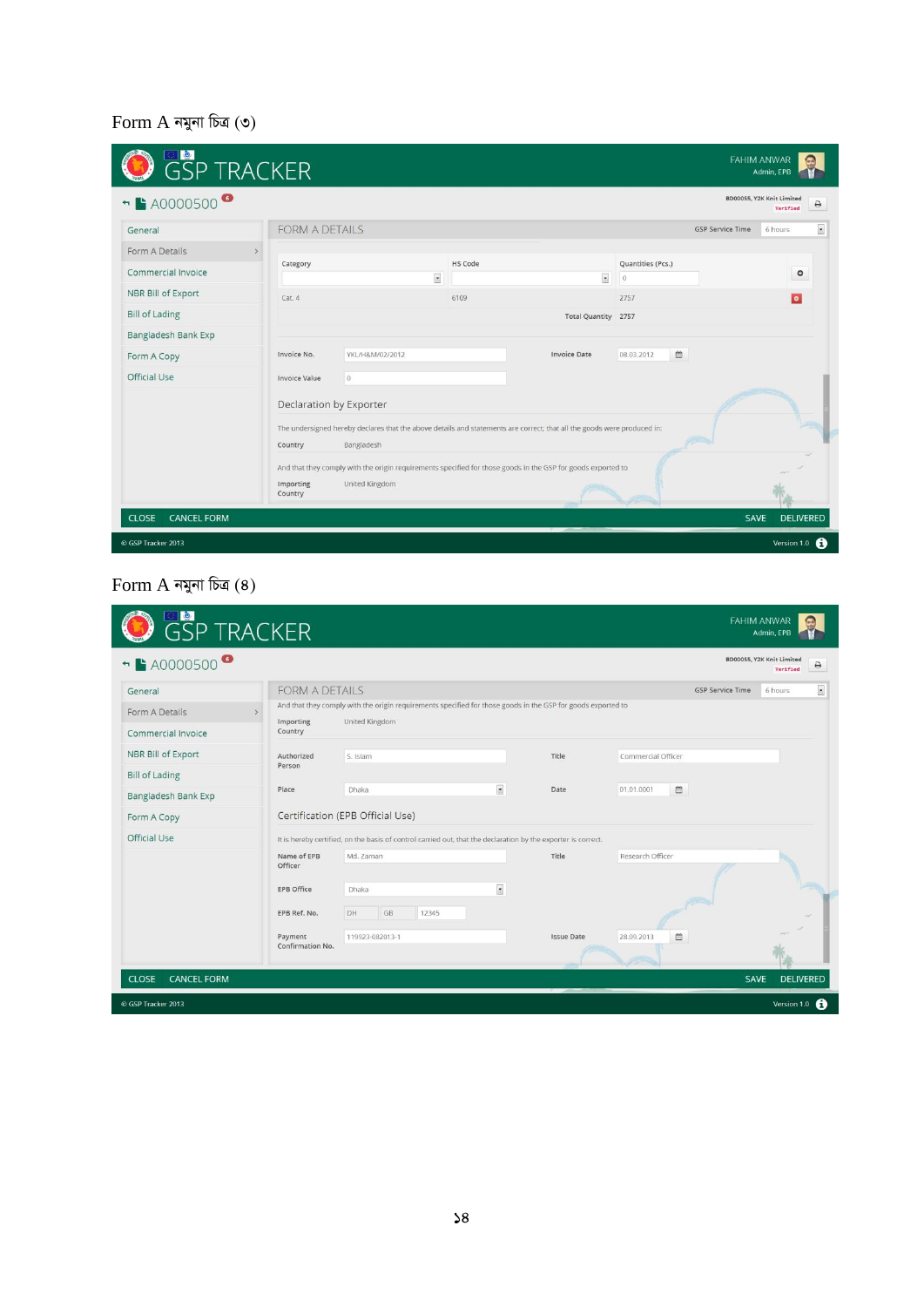# Form A *bgybv wPÎ (3)*

| <b>FORM A DETAILS</b><br><b>GSP Service Time</b><br>6 hours<br>General<br>Form A Details<br>$\rightarrow$<br>HS Code<br>Quantities (Pcs.)<br>Category<br>Commercial Invoice<br>$\circ$<br>$\blacksquare$<br>$\overline{\mathbf{z}}$<br>$\mathbf{0}$<br>NBR Bill of Export<br>$\bullet$<br>Cat.4<br>6109<br>2757<br><b>Bill of Lading</b><br>Total Quantity 2757<br>Bangladesh Bank Exp<br>$\blacksquare$<br>YKL/H&M/02/2012<br><b>Invoice Date</b><br>08.03.2012<br>Invoice No.<br>Form A Copy<br>Official Use<br>$\overline{0}$<br><b>Invoice Value</b><br>Declaration by Exporter<br>The undersigned hereby declares that the above details and statements are correct; that all the goods were produced in:<br>Bangladesh<br>Country<br>And that they comply with the origin requirements specified for those goods in the GSP for goods exported to<br>Importing<br>United Kingdom<br>Country | + 20000500 |  |  |  | BD00055, Y2K Knit Limited<br>Verified |  |
|---------------------------------------------------------------------------------------------------------------------------------------------------------------------------------------------------------------------------------------------------------------------------------------------------------------------------------------------------------------------------------------------------------------------------------------------------------------------------------------------------------------------------------------------------------------------------------------------------------------------------------------------------------------------------------------------------------------------------------------------------------------------------------------------------------------------------------------------------------------------------------------------------|------------|--|--|--|---------------------------------------|--|
|                                                                                                                                                                                                                                                                                                                                                                                                                                                                                                                                                                                                                                                                                                                                                                                                                                                                                                   |            |  |  |  |                                       |  |
|                                                                                                                                                                                                                                                                                                                                                                                                                                                                                                                                                                                                                                                                                                                                                                                                                                                                                                   |            |  |  |  |                                       |  |
|                                                                                                                                                                                                                                                                                                                                                                                                                                                                                                                                                                                                                                                                                                                                                                                                                                                                                                   |            |  |  |  |                                       |  |
|                                                                                                                                                                                                                                                                                                                                                                                                                                                                                                                                                                                                                                                                                                                                                                                                                                                                                                   |            |  |  |  |                                       |  |
|                                                                                                                                                                                                                                                                                                                                                                                                                                                                                                                                                                                                                                                                                                                                                                                                                                                                                                   |            |  |  |  |                                       |  |
|                                                                                                                                                                                                                                                                                                                                                                                                                                                                                                                                                                                                                                                                                                                                                                                                                                                                                                   |            |  |  |  |                                       |  |
|                                                                                                                                                                                                                                                                                                                                                                                                                                                                                                                                                                                                                                                                                                                                                                                                                                                                                                   |            |  |  |  |                                       |  |
|                                                                                                                                                                                                                                                                                                                                                                                                                                                                                                                                                                                                                                                                                                                                                                                                                                                                                                   |            |  |  |  |                                       |  |
|                                                                                                                                                                                                                                                                                                                                                                                                                                                                                                                                                                                                                                                                                                                                                                                                                                                                                                   |            |  |  |  |                                       |  |
|                                                                                                                                                                                                                                                                                                                                                                                                                                                                                                                                                                                                                                                                                                                                                                                                                                                                                                   |            |  |  |  |                                       |  |
|                                                                                                                                                                                                                                                                                                                                                                                                                                                                                                                                                                                                                                                                                                                                                                                                                                                                                                   |            |  |  |  |                                       |  |
|                                                                                                                                                                                                                                                                                                                                                                                                                                                                                                                                                                                                                                                                                                                                                                                                                                                                                                   |            |  |  |  |                                       |  |

# $\text{Form A }$  নমুনা চিত্ৰ (8)

| + A0000500                      | <b>GSP TRACKER</b>          |                                                                                                               |                          |                   |                                    | BD00055, Y2K Knit Limited<br>Verified | ₿                       |
|---------------------------------|-----------------------------|---------------------------------------------------------------------------------------------------------------|--------------------------|-------------------|------------------------------------|---------------------------------------|-------------------------|
| General                         | <b>FORM A DETAILS</b>       |                                                                                                               |                          |                   | <b>GSP Service Time</b>            | 6 hours                               | $\overline{\mathbf{z}}$ |
| Form A Details<br>$\rightarrow$ |                             | And that they comply with the origin requirements specified for those goods in the GSP for goods exported to  |                          |                   |                                    |                                       |                         |
| Commercial Invoice              | Importing<br>Country        | United Kingdom                                                                                                |                          |                   |                                    |                                       |                         |
| NBR Bill of Export              | Authorized                  | S. Islam                                                                                                      |                          | Title             | Commercial Officer                 |                                       |                         |
| <b>Bill of Lading</b>           | Person                      |                                                                                                               |                          |                   |                                    |                                       |                         |
| Bangladesh Bank Exp             | Place                       | Dhaka                                                                                                         | $\overline{\phantom{a}}$ | Date              | $\hfill\blacksquare$<br>01.01.0001 |                                       |                         |
| Form A Copy                     |                             | Certification (EPB Official Use)                                                                              |                          |                   |                                    |                                       |                         |
| Official Use                    |                             | It is hereby certified, on the basis of control carried out, that the declaration by the exporter is correct. |                          |                   |                                    |                                       |                         |
|                                 | Name of EPB<br>Officer      | Md. Zaman                                                                                                     |                          | Title             | Research Officer                   |                                       |                         |
|                                 | EPB Office                  | Dhaka                                                                                                         | $\blacksquare$           |                   |                                    |                                       |                         |
|                                 | EPB Ref. No.                | GB<br>12345<br>DH                                                                                             |                          |                   |                                    |                                       |                         |
|                                 | Payment<br>Confirmation No. | 119923-082013-1                                                                                               |                          | <b>Issue Date</b> | 曲<br>28.09.2013                    |                                       |                         |